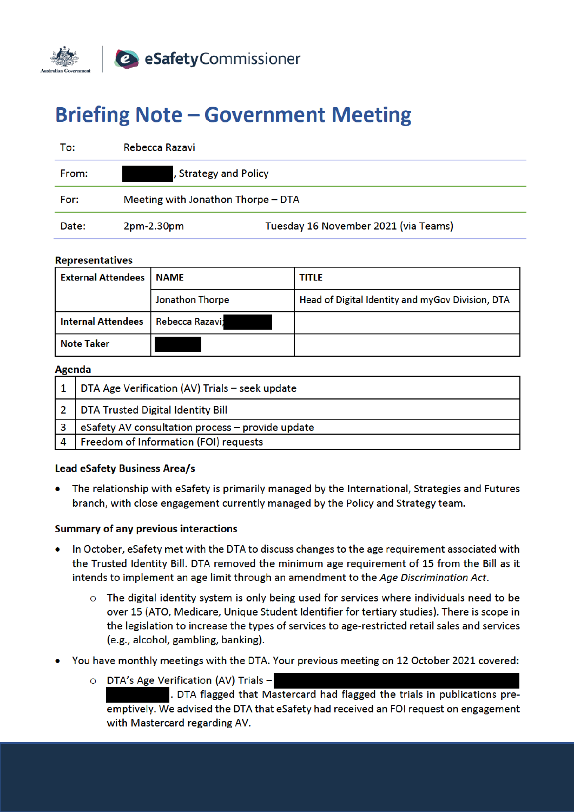

# **Briefing Note - Government Meeting**

| To:   | Rebecca Razavi                     |                                      |
|-------|------------------------------------|--------------------------------------|
| From: | , Strategy and Policy              |                                      |
| For:  | Meeting with Jonathon Thorpe - DTA |                                      |
| Date: | 2pm-2.30pm                         | Tuesday 16 November 2021 (via Teams) |

#### **Representatives**

| <b>External Attendees</b> | <b>NAME</b>     | <b>TITLE</b>                                     |
|---------------------------|-----------------|--------------------------------------------------|
|                           | Jonathon Thorpe | Head of Digital Identity and myGov Division, DTA |
| <b>Internal Attendees</b> | Rebecca Razavi; |                                                  |
| Note Taker                |                 |                                                  |

#### **Agenda**

|   | DTA Age Verification (AV) Trials - seek update   |  |
|---|--------------------------------------------------|--|
|   | DTA Trusted Digital Identity Bill                |  |
|   | eSafety AV consultation process - provide update |  |
| 4 | Freedom of Information (FOI) requests            |  |

### **Lead eSafety Business Area/s**

The relationship with eSafety is primarily managed by the International, Strategies and Futures branch, with close engagement currently managed by the Policy and Strategy team.

### **Summary of any previous interactions**

- In October, eSafety met with the DTA to discuss changes to the age requirement associated with the Trusted Identity Bill. DTA removed the minimum age requirement of 15 from the Bill as it intends to implement an age limit through an amendment to the Age Discrimination Act.
	- $\circ$  The digital identity system is only being used for services where individuals need to be over 15 (ATO, Medicare, Unique Student Identifier for tertiary studies). There is scope in the legislation to increase the types of services to age-restricted retail sales and services (e.g., alcohol, gambling, banking).
- You have monthly meetings with the DTA. Your previous meeting on 12 October 2021 covered:
	- O DTA's Age Verification (AV) Trials -. DTA flagged that Mastercard had flagged the trials in publications preemptively. We advised the DTA that eSafety had received an FOI request on engagement with Mastercard regarding AV.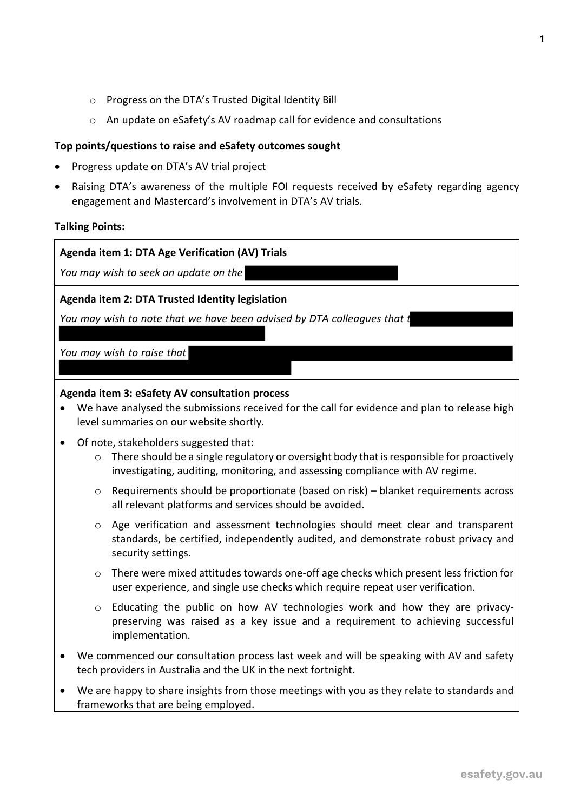- o Progress on the DTA's Trusted Digital Identity Bill
- o An update on eSafety's AV roadmap call for evidence and consultations

## **Top points/questions to raise and eSafety outcomes sought**

• Progress update on DTA's AV trial project

frameworks that are being employed.

• Raising DTA's awareness of the multiple FOI requests received by eSafety regarding agency engagement and Mastercard's involvement in DTA's AV trials.

## **Talking Points:**

| Agenda item 1: DTA Age Verification (AV) Trials                                                                                                                                                                                             |  |  |  |
|---------------------------------------------------------------------------------------------------------------------------------------------------------------------------------------------------------------------------------------------|--|--|--|
| You may wish to seek an update on the                                                                                                                                                                                                       |  |  |  |
| Agenda item 2: DTA Trusted Identity legislation                                                                                                                                                                                             |  |  |  |
| You may wish to note that we have been advised by DTA colleagues that t                                                                                                                                                                     |  |  |  |
|                                                                                                                                                                                                                                             |  |  |  |
| You may wish to raise that                                                                                                                                                                                                                  |  |  |  |
|                                                                                                                                                                                                                                             |  |  |  |
| Agenda item 3: eSafety AV consultation process<br>We have analysed the submissions received for the call for evidence and plan to release high<br>$\bullet$<br>level summaries on our website shortly.                                      |  |  |  |
| Of note, stakeholders suggested that:<br>$\bullet$<br>There should be a single regulatory or oversight body that is responsible for proactively<br>$\circ$<br>investigating, auditing, monitoring, and assessing compliance with AV regime. |  |  |  |
| Requirements should be proportionate (based on risk) - blanket requirements across<br>$\circ$<br>all relevant platforms and services should be avoided.                                                                                     |  |  |  |
| Age verification and assessment technologies should meet clear and transparent<br>$\circ$<br>standards, be certified, independently audited, and demonstrate robust privacy and<br>security settings.                                       |  |  |  |
| There were mixed attitudes towards one-off age checks which present less friction for<br>$\circ$<br>user experience, and single use checks which require repeat user verification.                                                          |  |  |  |
| Educating the public on how AV technologies work and how they are privacy-<br>$\circ$<br>preserving was raised as a key issue and a requirement to achieving successful<br>implementation.                                                  |  |  |  |
| We commenced our consultation process last week and will be speaking with AV and safety<br>tech providers in Australia and the UK in the next fortnight.                                                                                    |  |  |  |
| We are happy to share insights from those meetings with you as they relate to standards and                                                                                                                                                 |  |  |  |